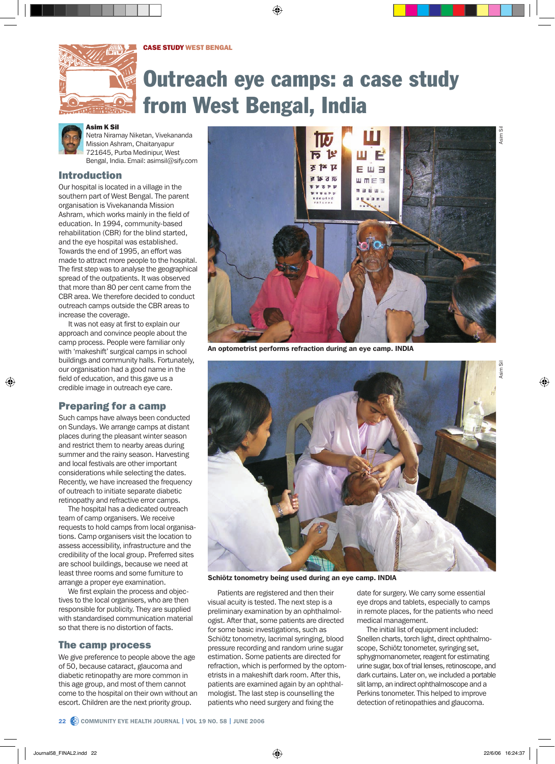

# Outreach eye camps: a case study from West Bengal, India



Asim K Sil

Netra Niramay Niketan, Vivekananda Mission Ashram, Chaitanyapur 721645, Purba Medinipur, West Bengal, India. Email: asimsil@sify.com

# Introduction

Our hospital is located in a village in the southern part of West Bengal. The parent organisation is Vivekananda Mission Ashram, which works mainly in the field of education. In 1994, community-based rehabilitation (CBR) for the blind started, and the eye hospital was established. Towards the end of 1995, an effort was made to attract more people to the hospital. The first step was to analyse the geographical spread of the outpatients. It was observed that more than 80 per cent came from the CBR area. We therefore decided to conduct outreach camps outside the CBR areas to increase the coverage.

It was not easy at first to explain our approach and convince people about the camp process. People were familiar only with 'makeshift' surgical camps in school buildings and community halls. Fortunately, our organisation had a good name in the field of education, and this gave us a credible image in outreach eye care.

# Preparing for a camp

Such camps have always been conducted on Sundays. We arrange camps at distant places during the pleasant winter season and restrict them to nearby areas during summer and the rainy season. Harvesting and local festivals are other important considerations while selecting the dates. Recently, we have increased the frequency of outreach to initiate separate diabetic retinopathy and refractive error camps.

The hospital has a dedicated outreach team of camp organisers. We receive requests to hold camps from local organisations. Camp organisers visit the location to assess accessibility, infrastructure and the credibility of the local group. Preferred sites are school buildings, because we need at least three rooms and some furniture to arrange a proper eye examination.

We first explain the process and objectives to the local organisers, who are then responsible for publicity. They are supplied with standardised communication material so that there is no distortion of facts.

# The camp process

We give preference to people above the age of 50, because cataract, glaucoma and diabetic retinopathy are more common in this age group, and most of them cannot come to the hospital on their own without an escort. Children are the next priority group.



An optometrist performs refraction during an eye camp. INDIA



Schiötz tonometry being used during an eye camp. INDIA

Patients are registered and then their visual acuity is tested. The next step is a preliminary examination by an ophthalmologist. After that, some patients are directed for some basic investigations, such as Schiötz tonometry, lacrimal syringing, blood pressure recording and random urine sugar estimation. Some patients are directed for refraction, which is performed by the optometrists in a makeshift dark room. After this, patients are examined again by an ophthalmologist. The last step is counselling the patients who need surgery and fixing the

date for surgery. We carry some essential eye drops and tablets, especially to camps in remote places, for the patients who need medical management.

The initial list of equipment included: Snellen charts, torch light, direct ophthalmoscope, Schiötz tonometer, syringing set, sphygmomanometer, reagent for estimating urine sugar, box of trial lenses, retinoscope, and dark curtains. Later on, we included a portable slit lamp, an indirect ophthalmoscope and a Perkins tonometer. This helped to improve detection of retinopathies and glaucoma.